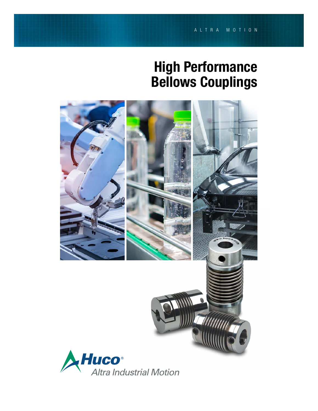# High Performance Bellows Couplings

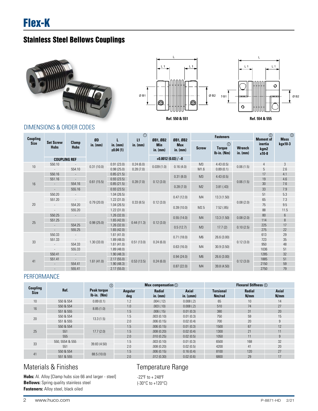



### DIMENSIONS & ORDER CODES

| Coupling    |                                 |                          | ØD         |                        | $\odot$<br>L1 | ØB1, ØB2                 | ØB1, ØB2                 | <b>Fasteners</b> |                                                  |                             | $\circledcirc$<br><b>Moment of</b> | $\circled{3}$<br><b>Mass</b> |
|-------------|---------------------------------|--------------------------|------------|------------------------|---------------|--------------------------|--------------------------|------------------|--------------------------------------------------|-----------------------------|------------------------------------|------------------------------|
| <b>Size</b> | <b>Set Screw</b><br><b>Hubs</b> | Clamp<br><b>Hubs</b>     | $in.$ (mm) | in. $(mm)$<br>±0.04(1) | in. $(mm)$    | <b>Min</b><br>in. $(mm)$ | <b>Max</b><br>in. $(mm)$ | <b>Screw</b>     | $^{\circledR}$<br><b>Torque</b><br>$Ib-in. (Nm)$ | <b>Wrench</b><br>in. $(mm)$ | inertia<br>kgm2<br>x10-8           | kgx10-3                      |
|             |                                 | <b>COUPLING REF</b>      |            |                        |               |                          | $+0.0012(0.03)/-0$       |                  |                                                  |                             |                                    |                              |
| 10          | 550.10                          |                          | 0.31(10.0) | 0.91(23.0)             | 0.24(6.0)     |                          |                          | M <sub>3</sub>   | 4.43(0.5)                                        | 0.06(1.5)                   | $\overline{4}$                     | 3                            |
|             |                                 | 554.10                   |            | 0.98(25.0)             | 0.28(7.0)     | 0.039(1.0)               | 0.16(4.0)                | M1.6             | 0.89(0.1)                                        |                             | $5\,$                              | 2.6                          |
|             | 550.16                          | $\overline{\phantom{a}}$ |            | 0.85(21.5)             |               |                          | 0.31(8.0)                | M <sub>3</sub>   | 4.43(0.5)                                        |                             | 17                                 | 4.1                          |
|             | 551.16                          |                          | 0.61(15.5) | 0.93(23.5)             | 0.28(7.0)     |                          |                          |                  |                                                  |                             | 19                                 | 4.6                          |
| 16          | æ,                              | 554.16                   |            | 0.85(21.5)             |               | 0.12(3.0)                | 0.28(7.0)                | M2               | 3.81(.43)                                        | 0.06(1.5)                   | 30                                 | 7.6                          |
|             | $\sim$                          | 555.16                   |            | 0.93(23.5)             |               |                          |                          |                  |                                                  |                             | 33                                 | 7.9                          |
|             | 550.20                          | $\overline{\phantom{a}}$ |            | 1.04(26.5)             |               |                          |                          |                  |                                                  |                             | 51                                 | 5.3                          |
|             | 551.20                          |                          |            | 1.22(31.0)             |               |                          | 0.47(12.0)               | M4               | 13.3(1.50)                                       |                             | 65                                 | 7.3                          |
| 20          |                                 | 554.20                   | 0.79(20.0) | 1.04(26.5)             | 0.33(8.5)     | 0.12(3.0)                |                          |                  |                                                  | 0.08(2.0)                   | 75                                 | 9.5                          |
|             |                                 | 555.20                   |            | 1.22(31.0)             |               |                          | 0.39(10.0)               | M2.5             | 7.52(.85)                                        |                             | 88                                 | 11.5                         |
|             | 550.25                          | $\sim$                   |            | 1.26(32.0)             |               |                          |                          |                  |                                                  |                             | 80                                 | 6                            |
|             | 551.25                          |                          |            | 1.65(42.0)             |               |                          | 0.55(14.0)               | M <sub>4</sub>   | 13.3 (1.50)                                      | 0.08(2.0)                   | 114                                | 8                            |
| 25          | $\sim$                          | 554.25                   | 0.98(25.0) | 1.26(32.0)             | 0.44(11.3)    | 0.12(3.0)                | 0.5(12.7)                | M3               | 17.7(2)                                          | 0.10(2.5)                   | 225                                | 17                           |
|             | $\sim$                          | 555.25                   |            | 1.65(42.0)             |               |                          |                          |                  |                                                  |                             | 275                                | 22                           |
|             | 550.33                          | $\sim$                   |            | 1.61(41.0)             |               |                          | 0.71(18.0)               | M <sub>6</sub>   | 26.6(3.00)                                       |                             | 613                                | 29                           |
| 33          | 551.33                          |                          | 1.30(33.0) | 1.89(48.0)             | 0.51(13.0)    | 0.24(6.0)                |                          |                  |                                                  | 0.12(3.0)                   | 723                                | 35                           |
|             | $\sim$                          | 554.33                   |            | 1.61(41.0)             |               |                          | 0.63(16.0)               | M4               | 30.9(3.50)                                       |                             | 950                                | 48                           |
|             | $\overline{\phantom{a}}$        | 555.33                   |            | 1.89(48.0)             |               |                          |                          |                  |                                                  |                             | 1036                               | 51                           |
|             | 550.41                          | $\sim$                   |            | 1.90(48.3)             |               |                          | 0.94(24.0)               | M6               | 26.6(3.00)                                       |                             | 1285                               | 32                           |
| 41          | 551.41                          | $\sim$                   | 1.61(41.0) | 2.17(55.0)             | 0.53(13.5)    | 0.24(6.0)                |                          |                  |                                                  | 0.12(3.0)                   | 1885                               | 51                           |
|             |                                 | 554.41                   |            | 1.90(48.3)             |               |                          | 0.87(22.0)               | M <sub>4</sub>   | 39.8 (4.50)                                      |                             | 2150                               | 59                           |
|             |                                 | 555.41                   |            | 2.17(55.0)             |               |                          |                          |                  |                                                  |                             | 2750                               | 79                           |

### PERFORMANCE

|                                |                 | $^{\circledR}$               |                | <b>Max compensation 5</b> |                               | <b>Flexural Stiffness (6)</b> |                       |                      |  |  |
|--------------------------------|-----------------|------------------------------|----------------|---------------------------|-------------------------------|-------------------------------|-----------------------|----------------------|--|--|
| <b>Coupling</b><br><b>Size</b> | Ref.            | Peak torque<br>$Ib-in.$ (Nm) | Angular<br>deg | <b>Radial</b><br>in. (mm) | <b>Axial</b><br>in. $(\pm m)$ | <b>Torsional</b><br>Nm/rad    | <b>Radial</b><br>N/mm | <b>Axial</b><br>N/mm |  |  |
| 10                             | 550 & 554       | 0.89(0.1)                    | 1.2            | .004(.12)                 | 0.008(.2)                     | 65                            | 10                    | 14                   |  |  |
| 16                             | 550 & 554       | 8.85(1.0)                    | 1.0            | .003(.10)                 | 0.008(.2)                     | 510                           | 74                    | 27                   |  |  |
|                                | 551 & 555       |                              | 1.5            | .006(.15)                 | 0.01(0.3)                     | 380                           | 31                    | 20                   |  |  |
| 20                             | 550 & 554       | 13.3(1.5)                    | 1.5            | .003(0.10)                | 0.01(0.3)                     | 750                           | 59                    | 15                   |  |  |
|                                | 551 & 555       |                              | 2.0            | .006(0.15)                | 0.02(0.4)                     | 700                           | 20                    | 9                    |  |  |
|                                | 550 & 554       |                              | 1.5            | .006(0.15)                | 0.01(0.3)                     | 1500                          | 67                    | 12                   |  |  |
| 25                             | 551             | 17.7(2.0)                    | 1.5            | .008(0.20)                | 0.02(0.4)                     | 1300                          | 21                    | 11                   |  |  |
|                                | 555             |                              | 2.0            | .010(0.25)                | 0.02(0.5)                     | 1050                          | 11                    | 9                    |  |  |
| 33                             | 550, 5554 & 555 | 39.83 (4.50)                 | 1.5            | .003(0.10)                | 0.01(0.3)                     | 6500                          | 168                   | 32                   |  |  |
|                                | 551             |                              | 2.0            | .008(0.20)                | 0.02(0.5)                     | 4200                          | 41                    | 20                   |  |  |
| 41                             | 550 & 554       | 88.5 (10.0)                  | 1.5            | .006(0.15)                | 0.16(0.4)                     | 8100                          | 120                   | 27                   |  |  |
|                                | 551 & 555       |                              | 2.0            | .012(0.30)                | 0.02(0.6)                     | 6800                          | 29                    | 17                   |  |  |

## Materials & Finishes

Hubs: Al. Alloy [Clamp hubs size 66 and larger - steel] **Bellows:** Spring quality stainless steel **Fasteners:** Alloy steel, black oiled

## Temperature Range

-22ºF to + 248ºF (-30°C to +120°C)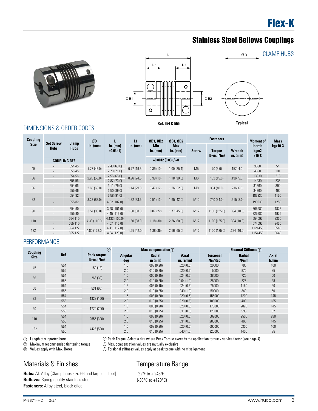





### DIMENSIONS & ORDER CODES

| Coupling    | <b>Set Screw</b><br>Clamp    |                     | ØD           |                        | L1         | ØB1, ØB2                 | ØB1. ØB2                 |                | <b>Fasteners</b>               |                             | <b>Moment of</b>         | <b>Mass</b> |  |
|-------------|------------------------------|---------------------|--------------|------------------------|------------|--------------------------|--------------------------|----------------|--------------------------------|-----------------------------|--------------------------|-------------|--|
| <b>Size</b> | <b>Hubs</b>                  | <b>Hubs</b>         | in. $(mm)$   | in. $(mm)$<br>±0.04(1) | in. $(mm)$ | <b>Min</b><br>in. $(mm)$ | <b>Max</b><br>in. $(mm)$ | <b>Screw</b>   | <b>Torque</b><br>$Ib-in. (Nm)$ | <b>Wrench</b><br>in. $(mm)$ | inertia<br>kgm2<br>x10-8 | kgx10-3     |  |
|             |                              | <b>COUPLING REF</b> |              |                        |            |                          | $+0.0012(0.03)/-0$       |                |                                |                             |                          |             |  |
| 45          | $\overline{\phantom{a}}$     | 554.45              | 1.77(45.0)   | 2.48(63.0)             | 0.77(19.5) | 0.39(10)                 | 1.00(25.4)               | M <sub>5</sub> | 70(8.0)                        | .157(4.0)                   | 3560                     | 54          |  |
|             | $\overline{\phantom{a}}$     | 555.45              |              | 2.78(71.0)             |            |                          |                          |                |                                |                             | 4560                     | 104         |  |
| 56          | $\overline{\phantom{a}}$     | 554.56              | 2.20(56.0)   | 2.56(65.0)             | 0.96(24.5) | 0.39(10)                 | 1.18(30.0)               | M6             | 132 (15.0)                     | .196(5.0)                   | 13930                    | 215         |  |
|             | $\overline{\phantom{a}}$     | 555.56              |              | 2.87(73.0)             |            |                          |                          |                |                                |                             | 14930                    | 235         |  |
| 66          | $\qquad \qquad \blacksquare$ | 554.66              | 2.60(66.0)   | 3.11(79.0)             |            | 0.47(12)                 |                          | M <sub>8</sub> | 354 (40.0)                     |                             | 31360                    | 390         |  |
|             | $\overline{\phantom{a}}$     | 555.66              |              | 3.50(89.0)             | 1.14(29.0) |                          | 1.26(32.0)               |                |                                | .236(6.0)                   | 34360                    | 490         |  |
|             | ٠                            | 554.82              |              | 3.58(91.0)             |            |                          |                          |                |                                |                             | 183930                   | 1150        |  |
| 82          | ٠                            | 555.82              | 3.23(82.0)   | 4.02(102.0)            | 1.32(33.5) | 0.51(13)                 | 1.65(42.0)               | M10            | 740 (84.0)                     | .315(8.0)                   | 193930                   | 1250        |  |
| 90          |                              | 554.90              |              | 3.98(101.0)            |            |                          |                          |                |                                |                             | 305980                   | 1875        |  |
|             | $\overline{\phantom{m}}$     | 555.90              | 3.54(90.0)   | 4.45(113.0)            | 1.50(38.0) | 0.87(22)                 | 1.77(45.0)               | M12            | 1100 (125.0)                   | .394(10.0)                  | 325980                   | 1975        |  |
|             | ٠                            | 554.110             |              | 4.133(105.0)           |            |                          |                          |                |                                |                             | 654095                   | 2330        |  |
| 110         | ٠                            | 555.110             | 4.33(110.0)  | 4.57(116.0)            | 1.50(38.0) | 1.18(30)                 | 2.36(60.0)               | M12            | 1100 (125.0)                   | .394(10.0)                  | 674095                   | 2430        |  |
|             |                              | 554.122             |              | 4.41 (112.0)           |            |                          |                          |                |                                |                             | 1124450                  | 3540        |  |
| 122         | $\overline{\phantom{a}}$     | 555.122             | 4.80 (122.0) | 4.84 (123.0)           | 1.65(42.0) | 1.38(35)                 | 2.56(65.0)               | M12            | 1100 (125.0)                   | .394(10.0)                  | 1154450                  | 3640        |  |

### PERFORMANCE

| <b>Coupling</b> |      | $^{\circledR}$                       |                       | <b>Max compensation 5</b> |                                 | <b>Flexural Stiffness</b> 6 |                |               |  |  |
|-----------------|------|--------------------------------------|-----------------------|---------------------------|---------------------------------|-----------------------------|----------------|---------------|--|--|
| <b>Size</b>     | Ref. | <b>Peak torque</b><br>$lb$ -in. (Nm) | <b>Angular</b><br>deg | <b>Radial</b><br>in (mm)  | <b>Axial</b><br>in. $(\pm m m)$ | Torsional<br>Nm/Rad         | Radial<br>N/mm | Axial<br>N/mm |  |  |
| 45              | 554  | 159 (18)                             | 1.5                   | .008(0.20)                | .020(0.5)                       | 20000                       | 790            | 100           |  |  |
|                 | 555  |                                      | 2.0                   | .010(0.25)                | .020(0.5)                       | 15000                       | 970            | 85            |  |  |
| 56              | 554  | 266 (30)                             | 1.5                   | .006(0.15)                | .024(0.6)                       | 38000                       | 720            | 50            |  |  |
|                 | 555  |                                      | 2.0                   | .010(0.25)                | 0.04(1.0)                       | 28000                       | 225            | 28            |  |  |
| 66              | 554  | 531 (60)                             | 1.5                   | .006(0.15)                | .024(0.6)                       | 75000                       | 1150           | 90            |  |  |
|                 | 555  |                                      | 2.0                   | .010(0.25)                | .040(1.0)                       | 50000                       | 340            | 50            |  |  |
| 82              | 554  |                                      | 1.5                   | .008(0.20)                | .020(0.5)                       | 155000                      | 1200           | 145           |  |  |
|                 | 555  | 1328 (150)                           | 2.0                   | .010(0.25)                | .020(0.5)                       | 105000                      | 400            | 185           |  |  |
| 90              | 554  |                                      | 1.5                   | .008(0.20)                | .020(0.5)                       | 175000                      | 2020           | 145           |  |  |
|                 | 555  | 1770 (200)                           | 2.0                   | .010(0.25)                | .031(0.8)                       | 120000                      | 595            | 82            |  |  |
| 110             | 554  |                                      | 1.5                   | .008(0.20)                | .020(0.5)                       | 502000                      | 2500           | 280           |  |  |
|                 | 555  | 2655 (300)                           | 2.0                   | .010(0.25)                | .031(0.8)                       | 285000                      | 460            | 145           |  |  |
|                 | 554  |                                      | 1.5                   | .008(0.20)                | .020(0.5)                       | 690000                      | 6300           | 100           |  |  |
| 122             | 555  | 4425 (500)                           | 2.0                   | .010(0.25)                | .040(1.0)                       | 320000                      | 1400           | 85            |  |  |

 Length of supported bore  $\circledcirc$ 

2

4 Peak Torque. Select a size where Peak Torque exceeds the application torque x service factor (see page 4)

Maximum recommended tightening torque

Values apply with Max. Bores

## Materials & Finishes

Hubs: Al. Alloy [Clamp hubs size 66 and larger - steel] **Bellows:** Spring quality stainless steel **Fasteners:** Alloy steel, black oiled

## Temperature Range

-22ºF to + 248ºF (-30°C to +120°C)

6 Torsional stiffness values apply at peak torque with no misalignment

5 Max. compensation values are mutually exclusive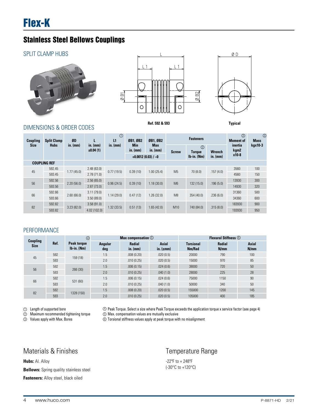#### SPLIT CLAMP HUBS





**Ref. 592 & 593 Typical**



DIMENSIONS & ORDER CODES

**Coupling Size Split Clamp Hubs ØD in. (mm) L in. (mm) ±0.04 (1) L1 in. (mm) ØB1, ØB2 Min in. (mm) ØB1, ØB2 Max in. (mm) Fasteners Moment of inertia kgm2 x10-8 Mass kgx10-3 Screw Torque lb-in. (Nm) Wrench +0.0012 (0.03) / −0 in. (mm) COUPLING REF** 45 592.45 1.77 (45.0) 2.48 (63.0) 0.77 (19.5) 0.39 (10) 1.00 (25.4) M5 70 (8.0) .157 (4.0) 3560 100  $593.45$  2.78 (71.0)  $100 \times 100$  and  $150$  and  $150$  and  $150$  and  $150$  and  $150$ 56 592.56 2.20 (56.0) 2.56 (65.0) 0.96 (24.5) 0.39 (10) 1.18 (30.0) M6 132 (15.0) .196 (5.0) 13930 300  $593.56$  2.87 (73.0) 2.87 (73.0) 66 592.66 2.60 (66.0) 3.11 (79.0) 1.14 (29.0) 0.47 (12) 1.26 (32.0) M8 354 (40.0) .236 (6.0) 31360 500 593.66 3.50 (89.0) 3.50 (89.0) 3.50 (89.0) 3.4360 600 82 592.82 3.23 (82.0) 3.58 (91.0) 1.32 (33.5) 0.51 (13) 1.65 (42.0) M10 740 (84.0) .315 (8.0) 183930 900 593.82 4.02 (102.0) 4.02 (102.0) 4.02 (102.0) 4.02 (102.0) 4.02 (102.0) 5950 4.02 (102.0) 4.02 (102.0) 590 4.0  $^{\circ}$  $(2)$  $\circledS$ 

#### **PERFORMANCE**

|             | <b>Coupling</b> | $\circledcirc$                      |                | <b>Max compensation</b> $\circledcirc$ |                               | <b>Flexural Stiffness <i>O</i></b> |                       |                      |  |  |  |
|-------------|-----------------|-------------------------------------|----------------|----------------------------------------|-------------------------------|------------------------------------|-----------------------|----------------------|--|--|--|
| <b>Size</b> | Ref.            | <b>Peak torque</b><br>$Ib-in. (Nm)$ | Angular<br>deg | <b>Radial</b><br>in. (mm)              | <b>Axial</b><br>in. $(\pm m)$ | <b>Torsional</b><br>Nm/Rad         | <b>Radial</b><br>N/mm | <b>Axial</b><br>N/mm |  |  |  |
| 45          | 592             | 159 (18)                            | 1.5            | .008(0.20)                             | .020(0.5)                     | 20000                              | 790                   | 100                  |  |  |  |
|             | 593             |                                     | 2.0            | .010(0.25)                             | .020(0.5)                     | 15000                              | 970                   | 85                   |  |  |  |
| 56          | 592             | 266 (30)                            | 1.5            | .006(0.15)                             | .024(0.6)                     | 38000                              | 720                   | 50                   |  |  |  |
|             | 593             |                                     | 2.0            | .010(0.25)                             | .040(1.0)                     | 28000                              | 225                   | 28                   |  |  |  |
| 66          | 592             |                                     | 1.5            | .006(0.15)                             | .024(0.6)                     | 75000                              | 1150                  | 90                   |  |  |  |
|             | 593             | 531 (60)                            | 2.0            | .010(0.25)                             | .040(1.0)                     | 50000                              | 340                   | 50                   |  |  |  |
| 82          | 592             |                                     | 1.5            | .008(0.20)                             | .020(0.5)                     | 155000                             | 1200                  | 145                  |  |  |  |
|             | 593             | 1328 (150)                          | 2.0            | .010(0.25)                             | .020(0.5)                     | 105000                             | 400                   | 185                  |  |  |  |

 $\mathbb D$   $\;$  Length of supported bore

 Maximum recommended tightening torque  $^{\circ}$ 

 Values apply with Max. Bores 3

4 Peak Torque. Select a size where Peak Torque exceeds the application torque x service factor (see page 4) 5 Max. compensation values are mutually exclusive

6 Torsional stiffness values apply at peak torque with no misalignment

### Materials & Finishes

**Hubs: Al. Alloy** 

**Bellows:** Spring quality stainless steel

**Fasteners:** Alloy steel, black oiled

### Temperature Range

-22ºF to + 248ºF (-30°C to +120°C)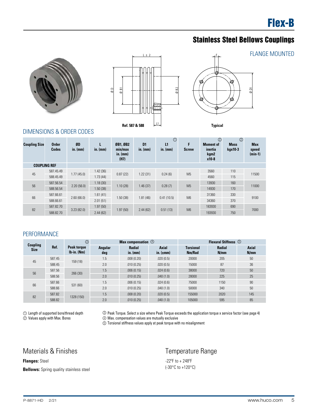





#### DIMENSIONS & ORDER CODES

|                                                                                                                                       |                              |                                                |                      | $\emptyset$ B1<br>$\overline{Q}$  | $L \pm 2$<br>Ref. 587 & 588     | Ø B <sub>2</sub><br>ப.                                                                                                                                                                                                                                |                                                            | ⊗<br>ల<br><b>Typical</b>                              | ⊗<br>∞                                   | $\overline{\omega}$              | <b>FLANGE MOUNTED</b> |
|---------------------------------------------------------------------------------------------------------------------------------------|------------------------------|------------------------------------------------|----------------------|-----------------------------------|---------------------------------|-------------------------------------------------------------------------------------------------------------------------------------------------------------------------------------------------------------------------------------------------------|------------------------------------------------------------|-------------------------------------------------------|------------------------------------------|----------------------------------|-----------------------|
| <b>Coupling Size</b>                                                                                                                  | <b>Order</b><br><b>Codes</b> | DIMENSIONS & ORDER CODES<br>ØD<br>in. (mm)     | L<br>in. (mm)        | ØB1, ØB2<br>min/max<br>in. $(mm)$ | D <sub>1</sub><br>$in.$ (mm)    | $\odot$<br>L1<br>in. (mm)                                                                                                                                                                                                                             | F.<br><b>Screw</b>                                         | $^{\circledR}$<br><b>Moment of</b><br>inertia<br>kgm2 | $^{\circledR}$<br><b>Mass</b><br>kgx10-3 | <b>Max</b><br>speed<br>$(min-1)$ |                       |
|                                                                                                                                       |                              |                                                |                      | (H7)                              |                                 |                                                                                                                                                                                                                                                       |                                                            | x10-8                                                 |                                          |                                  |                       |
| <b>COUPLING REF</b>                                                                                                                   |                              |                                                |                      |                                   |                                 |                                                                                                                                                                                                                                                       |                                                            |                                                       |                                          |                                  |                       |
| $45\,$                                                                                                                                | 587.45.49                    | 1.77(45.0)                                     | 1.42(36)             | 0.87(22)                          | 1.22(31)                        | 0.24(6)                                                                                                                                                                                                                                               | M <sub>5</sub>                                             | 3560                                                  | 110                                      | 11500                            |                       |
|                                                                                                                                       | 588.45.49                    |                                                | 1.73(44)             |                                   |                                 |                                                                                                                                                                                                                                                       |                                                            | 4560                                                  | 115                                      |                                  |                       |
| 56                                                                                                                                    | 587.56.54                    | 2.20(56.0)                                     | 1.18(30)             | 1.10(28)                          | 1.46(37)                        | 0.28(7)                                                                                                                                                                                                                                               | M <sub>5</sub>                                             | 13930                                                 | 160                                      | 11000                            |                       |
|                                                                                                                                       | 588.56.54<br>587.66.61       |                                                | 1.50(38)<br>1.61(41) |                                   |                                 |                                                                                                                                                                                                                                                       |                                                            | 14930<br>31360                                        | 170<br>330                               |                                  |                       |
| 66                                                                                                                                    | 588.66.61                    | 2.60(66.0)                                     | 2.01(51)             | 1.50(38)                          | 1.81(46)                        | 0.41(10.5)                                                                                                                                                                                                                                            | M <sub>6</sub>                                             | 34360                                                 | 370                                      | 9100                             |                       |
|                                                                                                                                       | 587.82.70                    |                                                | 1.97(50)             |                                   |                                 |                                                                                                                                                                                                                                                       |                                                            | 183930                                                | 690                                      |                                  |                       |
| 82                                                                                                                                    | 588.82.70                    | 3.23(82.0)                                     | 2.44(62)             | 1.97(50)                          | 2.44(62)                        | 0.51(13)                                                                                                                                                                                                                                              | M <sub>6</sub>                                             | 193930                                                | 750                                      | 7000                             |                       |
| PERFORMANCE<br>Coupling                                                                                                               | Ref.                         | $\circledS$                                    |                      |                                   | Max compensation $\circledcirc$ |                                                                                                                                                                                                                                                       |                                                            |                                                       |                                          |                                  |                       |
| <b>Size</b>                                                                                                                           |                              | <b>Peak torque</b><br>Ib-in. (Nm)              | Angular<br>deg       |                                   | Radial<br>$in.$ (mm)            | <b>Axial</b><br>in. $(\pm m m)$                                                                                                                                                                                                                       | <b>Torsional</b><br>Nm/Rad                                 | Radial<br>N/mm                                        |                                          | Axial<br>N/mm                    |                       |
|                                                                                                                                       | 587.45                       |                                                | 1.5                  |                                   | .008(0.20)                      | .020(0.5)                                                                                                                                                                                                                                             | 20000                                                      | 205                                                   |                                          | $50\,$                           |                       |
| $45\,$                                                                                                                                | 588.45                       | 159 (18)                                       | 2.0                  |                                   | .010(0.25)                      | .020(0.5)                                                                                                                                                                                                                                             | 15000                                                      | 87                                                    |                                          | 36                               |                       |
| 56                                                                                                                                    | 587.56                       | 266 (30)                                       | 1.5                  |                                   | .006(0.15)                      | .024(0.6)                                                                                                                                                                                                                                             | 38000                                                      | 720                                                   |                                          | 50                               |                       |
|                                                                                                                                       | 588.56                       |                                                | 2.0                  |                                   | .010(0.25)                      | .040(1.0)                                                                                                                                                                                                                                             | 28000                                                      | 225                                                   |                                          | 25                               |                       |
| 66                                                                                                                                    | 587.66                       | 531 (60)                                       | 1.5                  |                                   | .006(0.15)                      | .024(0.6)                                                                                                                                                                                                                                             | 75000                                                      | 1150                                                  |                                          | 90                               |                       |
|                                                                                                                                       | 588.66                       |                                                | 2.0                  |                                   | .010(0.25)                      | .040(1.0)                                                                                                                                                                                                                                             | 50000                                                      | 340                                                   |                                          | 50                               |                       |
| 82                                                                                                                                    | 587.82<br>588.82             | 1328 (150)                                     | 1.5<br>2.0           |                                   | .008(0.20)<br>.010(0.25)        | .020(0.5)<br>.040(1.0)                                                                                                                                                                                                                                | 155000<br>105000                                           | 2020<br>595                                           |                                          | 145<br>85                        |                       |
| 1 Length of supported bore/thread depth<br>2 Values apply with Max. Bores<br><b>Materials &amp; Finishes</b><br><b>Flanges: Steel</b> |                              |                                                |                      |                                   |                                 | <sup>3</sup> Peak Torque. Select a size where Peak Torque exceeds the application torque x service factor (see page 4)<br>4 Max. compensation values are mutually exclusive<br>5 Torsional stiffness values apply at peak torque with no misalignment | Temperature Range<br>$-22^{\circ}$ F to + 248 $^{\circ}$ F |                                                       |                                          |                                  |                       |
|                                                                                                                                       |                              |                                                |                      |                                   |                                 |                                                                                                                                                                                                                                                       | (-30°C to +120°C)                                          |                                                       |                                          |                                  |                       |
|                                                                                                                                       |                              | <b>Bellows:</b> Spring quality stainless steel |                      |                                   |                                 |                                                                                                                                                                                                                                                       |                                                            |                                                       |                                          |                                  |                       |
| P-8871-HD                                                                                                                             | 2/21                         |                                                |                      |                                   |                                 |                                                                                                                                                                                                                                                       |                                                            |                                                       |                                          | www.huco.com                     |                       |

### PERFORMANCE

|                         |        | $\circledS$                  |                       | Max compensation 4   |                                 | Flexural Stiffness 5       |                |                      |  |  |  |
|-------------------------|--------|------------------------------|-----------------------|----------------------|---------------------------------|----------------------------|----------------|----------------------|--|--|--|
| Coupling<br><b>Size</b> | Ref.   | Peak torque<br>$Ib-in. (Nm)$ | <b>Angular</b><br>deg | Radial<br>$in.$ (mm) | <b>Axial</b><br>in. $(\pm m m)$ | <b>Torsional</b><br>Nm/Rad | Radial<br>N/mm | <b>Axial</b><br>N/mm |  |  |  |
| 45                      | 587.45 | 159 (18)                     | 1.5                   | .008(0.20)           | .020(0.5)                       | 20000                      | 205            | 50                   |  |  |  |
|                         | 588.45 |                              | 2.0                   | .010(0.25)           | .020(0.5)                       | 15000                      | 87             | 36                   |  |  |  |
| 56                      | 587.56 | 266 (30)                     | 1.5                   | .006(0.15)           | .024(0.6)                       | 38000                      | 720            | 50                   |  |  |  |
|                         | 588.56 |                              | 2.0                   | .010(0.25)           | .040(1.0)                       | 28000                      | 225            | 25                   |  |  |  |
| 66                      | 587.66 |                              | 1.5                   | .006(0.15)           | .024(0.6)                       | 75000                      | 1150           | 90                   |  |  |  |
|                         | 588.66 | 531(60)                      | 2.0                   | .010(0.25)           | .040(1.0)                       | 50000                      | 340            | 50                   |  |  |  |
| 82                      | 587.82 | 1328 (150)                   | 1.5                   | .008(0.20)           | .020(0.5)                       | 155000                     | 2020           | 145                  |  |  |  |
|                         | 588.82 |                              | 2.0                   | .010(0.25)           | .040(1.0)                       | 105000                     | 595            | 85                   |  |  |  |

### Materials & Finishes

### Temperature Range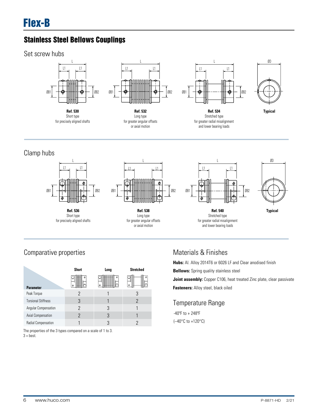Set screw hubs



## Clamp hubs



## Comparative properties

|                            | <b>Short</b> | Long            | <b>Stretched</b> |
|----------------------------|--------------|-----------------|------------------|
| <b>Parameter</b>           | а            | o<br>mmer.<br>a | ο<br>٥           |
| Peak Torque                | 2            |                 | 3                |
| <b>Torsional Stiffness</b> | 3            |                 | 2                |
| Angular Compensation       | 2            | 3               |                  |
| Axial Compensation         | 2            | 3               |                  |
| Radial Compensation        |              |                 |                  |

The properties of the 3 types compared on a scale of 1 to 3.  $3 = best$ .

## Materials & Finishes

Hubs: Al. Alloy 2014T6 or 6026 LF and Clear anodised finish **Bellows:** Spring quality stainless steel **Joint assembly:** Copper C106, heat treated Zinc plate, clear passivate **Fasteners:** Alloy steel, black oiled

## Temperature Range

-40ºF to + 248ºF (–40°C to +120°C)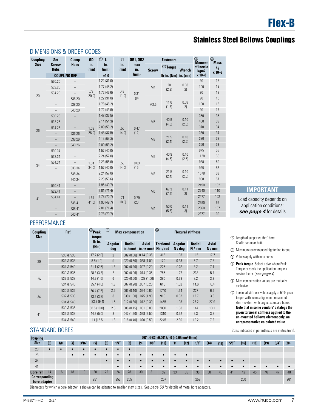### DIMENSIONS & ORDER CODES

| Coupling    | Set                         | <b>Clamp</b>                       | ØD          | $\circledcirc$ L    | L1          | ØB1, ØB2           |                | <b>Fasteners</b>                     |                             | $\circledcirc$<br><b>Moment</b>  | $\circledS$<br><b>Mass</b> |
|-------------|-----------------------------|------------------------------------|-------------|---------------------|-------------|--------------------|----------------|--------------------------------------|-----------------------------|----------------------------------|----------------------------|
| <b>Size</b> | <b>Screw</b><br><b>Hubs</b> | <b>Hubs</b><br><b>COUPLING REF</b> | in.<br>(mm) | in.<br>(mm)<br>±1.0 | in.<br>(mm) | max<br>in.<br>(mm) | <b>Screw</b>   | $\circledcirc$ Torque<br>lb-in. (Nm) | <b>Wrench</b><br>$in.$ (mm) | of inertia<br>kgm2<br>$x 10 - 8$ | kg<br>$x 10 - 3$           |
|             | 530.20                      | $\overline{\phantom{0}}$           |             | 1.22(31.0)          |             |                    |                |                                      |                             | 90                               | 18                         |
|             | 532.20                      | $\qquad \qquad -$                  |             | 1.77(45.2)          |             |                    | M4             | 20                                   | 0.08                        | 100                              | 19                         |
|             | 534.20                      |                                    | .79         | 1.72(43.6)          | .43         | 0.31               |                | (2.2)                                | (2)                         | 90                               | 18                         |
| 20          |                             | 536.20                             | (20.0)      | 1.22(31.0)          | (11.0)      | (8)                |                |                                      |                             | 90                               | 16                         |
|             |                             | 538.20                             |             | 1.78(45.2)          |             |                    | M2.5           | 11.6                                 | 0.08                        | 100                              | 18                         |
|             |                             | 540.20                             |             | 1.72(43.6)          |             |                    |                | (1.3)                                | (2)                         | 90                               | 17                         |
|             | 530.26                      | $\qquad \qquad -$                  |             | 1.48(37.5)          |             |                    |                |                                      |                             | 350                              | 35                         |
|             | 532.26                      | $\qquad \qquad -$                  |             | 2.14(54.3)          |             |                    | M <sub>5</sub> | 40.9                                 | 0.10                        | 400                              | 39                         |
|             | 534.26                      |                                    | 1.02        | 2.09(53.2)          | .55         | 0.47               |                | (4.6)                                | (2.5)                       | 370                              | 34                         |
| 26          |                             | 536.26                             | (26.0)      | 1.48(37.5)          | (14.0)      | (12)               |                |                                      |                             | 330                              | 34                         |
|             | $\qquad \qquad -$           | 538.26                             |             | 2.14(54.3)          |             |                    | M <sub>3</sub> | 21.5                                 | 0.10                        | 380                              | 38                         |
|             |                             | 540.26                             |             | 2.09(53.2)          |             |                    |                | (2.4)                                | (2.5)                       | 350                              | 33                         |
|             | 530.34                      | $\qquad \qquad -$                  |             | 1.57(40.0)          |             |                    |                |                                      |                             | 975                              | 58                         |
|             | 532.34                      | $\qquad \qquad -$                  |             | 2.24(57.0)          |             |                    | M <sub>5</sub> | 40.9<br>(4.6)                        | 0.10<br>(2.5)               | 1128                             | 65                         |
|             | 534.34                      | $\qquad \qquad -$                  | 1.34        | 2.23(56.6)          | .55         | 0.63               |                |                                      |                             | 988                              | 59                         |
| 34          | $\overline{\phantom{m}}$    | 536.34                             | (34.0)      | 1.57(40.0)          | (14.0)      | (16)               |                |                                      |                             | 925                              | 56                         |
|             |                             | 538.34                             |             | 2.24(57.0)          |             |                    | M <sub>3</sub> | 21.5<br>(2.4)                        | 0.10<br>(2.5)               | 1078                             | 63                         |
|             |                             | 540.34                             |             | 2.23(56.6)          |             |                    |                |                                      |                             | 938                              | 57                         |
|             | 530.41                      | $\qquad \qquad -$                  |             | 1.96(49.7)          |             |                    |                |                                      |                             | 2490                             | 102                        |
|             | 532.41                      | $\qquad \qquad -$                  |             | 2.81(71.4)          |             |                    | M6             | 67.3<br>(7.6)                        | 0.11<br>(3)                 | 2740                             | 110                        |
| 41          | 534.41                      | $\overline{\phantom{m}}$           | 1.61        | 2.78(70.7)          | .71         | 0.79               |                |                                      |                             | 2477                             | 102                        |
|             |                             | 536.41                             | (41.0)      | 1.96(49.7)          | (18.0)      | (20)               |                |                                      |                             | 2390                             | 99                         |
|             | 538.41<br>-                 |                                    | 2.81(71.4)  |                     |             | M4                 | 50.0<br>(5.6)  | 0.11                                 | 2660                        | 107                              |                            |
|             |                             | 540.41                             |             | 2.78(70.7)          |             |                    |                |                                      | (3)                         | 2377                             | 99                         |

### PERFORMANCE

| <b>Coupling</b><br><b>Size</b> | Ref.      | Peak<br>torque | $\circledS$    | <b>Max compensation</b> |                                  | $^{\circledR}$               |                    | <b>Flexural stiffness</b> |               |
|--------------------------------|-----------|----------------|----------------|-------------------------|----------------------------------|------------------------------|--------------------|---------------------------|---------------|
|                                |           | Ib-in.<br>(Nm) | Angular<br>deq | <b>Radial</b>           | Axial<br>in. (mm) in. $(\pm$ mm) | <b>Torsional</b><br>Nm / rad | Angular<br>N / deg | <b>Radial</b><br>N/mm     | Axial<br>N/mm |
|                                | 530 & 536 | 17.7(2.0)      | $\mathcal{P}$  |                         | $.002(0.06)$ 0.14 (0.35)         | 315                          | 1.03               | 115                       | 17.7          |
| 20                             | 532 & 538 | 8.8(1.0)       | 6              | .020(0.50)              | .038(1.00)                       | 170                          | 0.33               | 6.7                       | 7.8           |
|                                | 534 & 540 | 21.1(2.5)      | 1.3            | .007(0.20)              | .007(0.20)                       | 225                          | 0.33               | 8.2                       | 7.1           |
|                                | 530 & 536 | 28.3(3.2)      | $\overline{2}$ |                         | $.002(0.06)$ $.014(0.36)$        | 755                          | 1.27               | 238                       | 5.7           |
| 26                             | 532 & 538 | 14.2(1.6)      | 6              |                         | $.020(0.50)$ $.039(1.00)$        | 380                          | 0.39               | 8.2                       | 3.3           |
|                                | 534 & 540 | 35.4(4.0)      | 1.3            |                         | $.007(0.20)$ $.007(0.20)$        | 615                          | 1.52               | 14.6                      | 6.4           |
|                                | 530 & 536 | 66.4 (7.5)     | 2.5            |                         | $.003(0.10)$ $.024(0.60)$        | 1740                         | 1.34               | 227                       | 6.6           |
| 34                             | 532 & 538 | 33.6(3.8)      | 8              | .039(1.00)              | .075(1.90)                       | 915                          | 0.62               | 12.7                      | 3.8           |
|                                | 534 & 540 | 83.2(9.4)      | 1.5            | .012(0.30)              | .012(0.30)                       | 1455                         | 1.98               | 23.2                      | 27.9          |
|                                | 530 & 536 | 88.5 (10.0)    | 2.5            |                         | $.006(0.15)$ $.031(0.80)$        | 2880                         | 1.58               | 144                       | 13.1          |
| 41                             | 532 & 538 | 44.3(5.0)      | 8              | .047(1.20)              | .098(2.50)                       | 1310                         | 0.52               | 9.3                       | 3.8           |
|                                | 534 & 540 | 111 (12.5)     | 1.8            |                         | .016 (0.40) .020 (0.50)          | 2245                         | 2.30               | 19.2                      | 7.2           |

### STANDARD BORES

| <b>Coupling</b>               | ØB1, ØB2 +0.0012/ -0 (+0.03mm/-0mm) |      |           |            |           |           |           |           |           |           |      |           |           |            |           |      |           |           |            |      |           |           |
|-------------------------------|-------------------------------------|------|-----------|------------|-----------|-----------|-----------|-----------|-----------|-----------|------|-----------|-----------|------------|-----------|------|-----------|-----------|------------|------|-----------|-----------|
| <b>Size</b>                   | (3)                                 | 1/8' | (4)       | 3/16"      | (5)       | (6)       | 1/4"      | (8)       | (9)       | 3/8"      | (10) | (11)      | (12)      | 1/2"       | (14)      | (15) | 5/8       | (16)      | (18)       | (19) | 3/4"      | (20)      |
| 20                            | $\bullet$                           |      |           | $\epsilon$ | $\bullet$ | $\bullet$ |           | $\bullet$ |           |           |      |           |           |            |           |      |           |           |            |      |           |           |
| 26                            |                                     |      | $\bullet$ | $\epsilon$ | $\bullet$ | $\bullet$ | ٠         | $\bullet$ | $\bullet$ | $\bullet$ |      | $\bullet$ | $\bullet$ |            |           |      |           |           |            |      |           |           |
| 34                            |                                     |      |           |            |           | $\bullet$ |           |           |           | $\bullet$ |      |           | $\bullet$ | $\epsilon$ |           |      |           | $\bullet$ |            |      |           |           |
| 41                            |                                     |      |           |            |           |           | $\bullet$ | $\bullet$ | $\bullet$ | $\bullet$ |      | $\bullet$ | $\bullet$ | $\bullet$  | $\bullet$ |      | $\bullet$ | $\bullet$ | $\epsilon$ |      | $\bullet$ | $\bullet$ |
| Bore ref.                     | 14                                  | 16   | 18        | 19         | 20        | 22        | 24        | 28        | 30        | 31        | 32   | 33        | 35        | 36         | 38        | 40   | 41        | 42        | 45         | 46   | 47        | 48        |
| Corresponding<br>bore adaptor |                                     |      |           |            | 251       |           | 253       | 255       |           |           | 257  |           |           | 259        |           |      |           | 260       |            |      |           | 261       |

Diameters for which a bore adaptor is shown can be adapted to smaller shaft sizes. See *page 58* for details of metal bore adaptors.

### **IMPORTANT**

Load capacity depends on application conditions: *see page 4* for details

- $\cup$  Length of supported thro' bore. Shafts can near-butt.
- Maximum recommended tightening torque. 2
- Values apply with max bores. 3
- **Peak torque**. Select a size where Peak 4 Torque exceeds the application torque x service factor. (*see page 4*)
- Max. compensation values are mutually 5 exclusive.
- Torsional stiffness values apply at 50% peak 6 torque with no misalignment, measured shaft-to-shaft with largest standard bores. **Note that in some vendors' catalogs the given torsional stiffness applied to the un-mounted bellows element only, an unrepresentative calculated value.**

Sizes indicated in parenthesis are metric (mm).